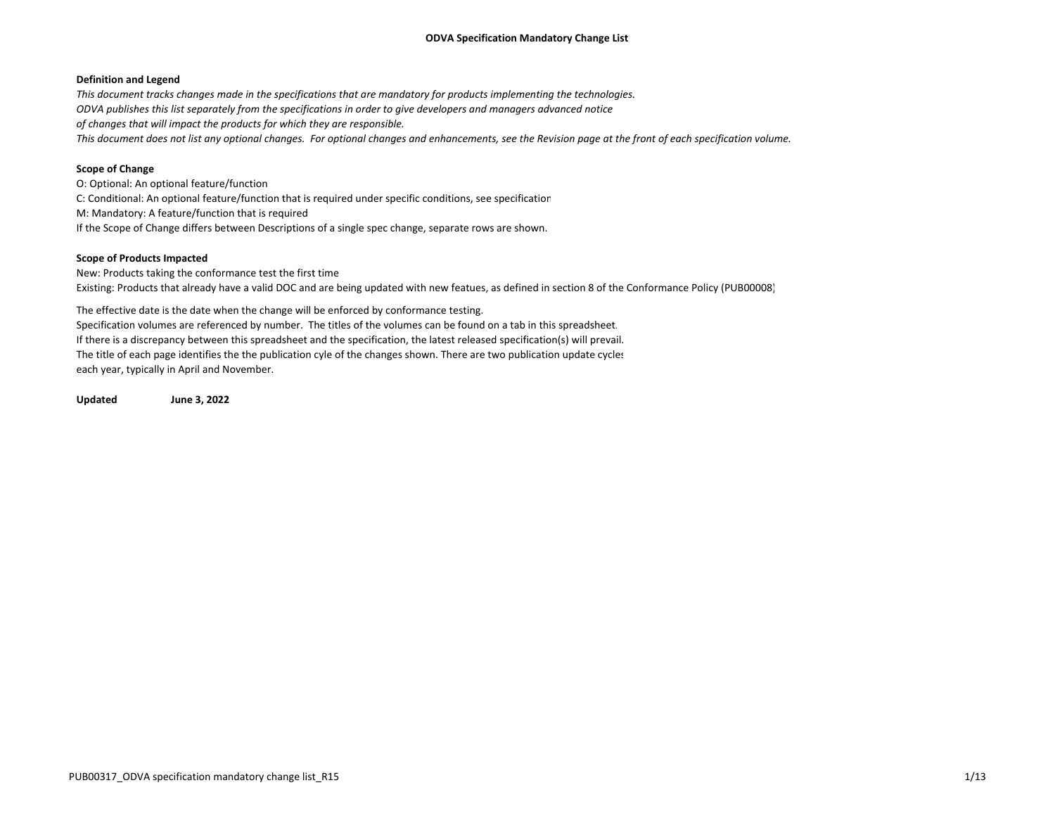# **Definition and Legend**

This document tracks changes made in the specifications that are mandatory for products implementing the technologies. ODVA publishes this list separately from the specifications in order to give developers and managers advanced notice *of changes that will impact the products for which they are responsible.* This document does not list any optional changes. For optional changes and enhancements, see the Revision page at the front of each specification volume.

# **Scope of Change**

O: Optional: An optional feature/function C: Conditional: An optional feature/function that is required under specific conditions, see specification M: Mandatory: A feature/function that is required If the Scope of Change differs between Descriptions of <sup>a</sup> single spec change, separate rows are shown.

# **Scope of Products Impacted**

New: Products taking the conformance test the first time Existing: Products that already have <sup>a</sup> valid DOC and are being updated with new featues, as defined in section 8 of the Conformance Policy (PUB00008)

The effective date is the date when the change will be enforced by conformance testing. Specification volumes are referenced by number. The titles of the volumes can be found on <sup>a</sup> tab in this spreadsheet. If there is <sup>a</sup> discrepancy between this spreadsheet and the specification, the latest released specification(s) will prevail. The title of each page identifies the the publication cyle of the changes shown. There are two publication update cycles each year, typically in April and November.

**Updated June 3, 2022**

PUB00317 ODVA specification mandatory change list R15 1/13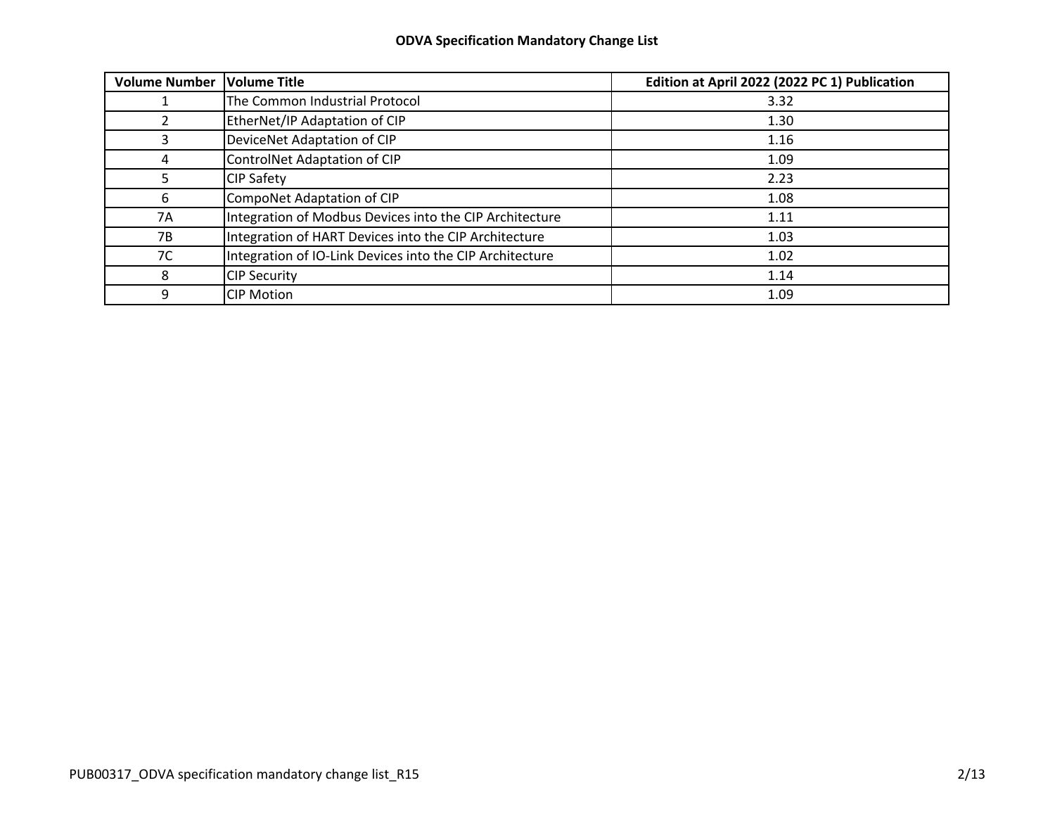| <b>Volume Number</b> | <b>Volume Title</b>                                      | Edition at April 2022 (2022 PC 1) Publication |
|----------------------|----------------------------------------------------------|-----------------------------------------------|
|                      | The Common Industrial Protocol                           | 3.32                                          |
|                      | EtherNet/IP Adaptation of CIP                            | 1.30                                          |
|                      | DeviceNet Adaptation of CIP                              | 1.16                                          |
| 4                    | <b>ControlNet Adaptation of CIP</b>                      | 1.09                                          |
|                      | <b>CIP Safety</b>                                        | 2.23                                          |
| 6                    | CompoNet Adaptation of CIP                               | 1.08                                          |
| 7A                   | Integration of Modbus Devices into the CIP Architecture  | 1.11                                          |
| 7B                   | Integration of HART Devices into the CIP Architecture    | 1.03                                          |
| 7C                   | Integration of IO-Link Devices into the CIP Architecture | 1.02                                          |
| 8                    | <b>CIP Security</b>                                      | 1.14                                          |
| 9                    | <b>CIP Motion</b>                                        | 1.09                                          |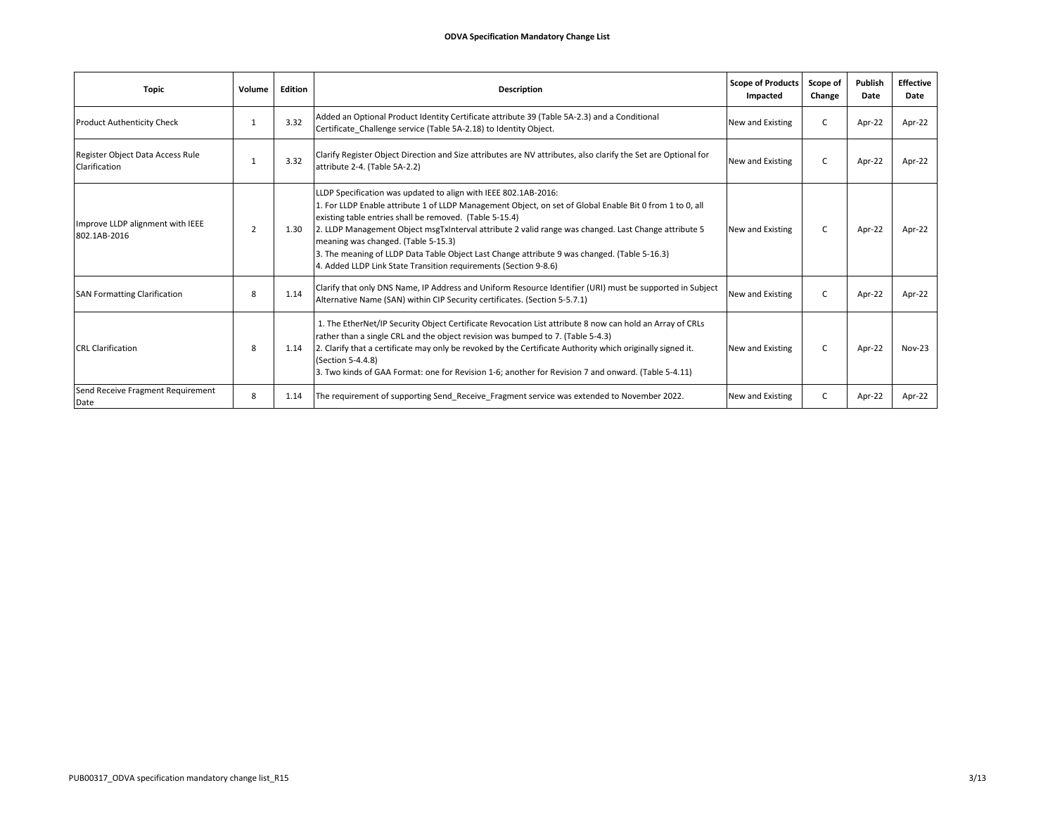| <b>Topic</b>                                      | Volume         | Edition | <b>Description</b>                                                                                                                                                                                                                                                                                                                                                                                                                                                                                                                                        | Scope of Products<br>Impacted | Scope of<br>Change | Publish<br>Date | <b>Effective</b><br>Date |
|---------------------------------------------------|----------------|---------|-----------------------------------------------------------------------------------------------------------------------------------------------------------------------------------------------------------------------------------------------------------------------------------------------------------------------------------------------------------------------------------------------------------------------------------------------------------------------------------------------------------------------------------------------------------|-------------------------------|--------------------|-----------------|--------------------------|
| <b>Product Authenticity Check</b>                 |                | 3.32    | Added an Optional Product Identity Certificate attribute 39 (Table 5A-2.3) and a Conditional<br>Certificate Challenge service (Table 5A-2.18) to Identity Object.                                                                                                                                                                                                                                                                                                                                                                                         | New and Existing              | C                  | Apr-22          | Apr-22                   |
| Register Object Data Access Rule<br>Clarification | -1             | 3.32    | Clarify Register Object Direction and Size attributes are NV attributes, also clarify the Set are Optional for<br>attribute 2-4. (Table 5A-2.2)                                                                                                                                                                                                                                                                                                                                                                                                           | New and Existing              | C                  | Apr-22          | Apr-22                   |
| Improve LLDP alignment with IEEE<br>802.1AB-2016  | $\overline{2}$ | 1.30    | LLDP Specification was updated to align with IEEE 802.1AB-2016:<br>1. For LLDP Enable attribute 1 of LLDP Management Object, on set of Global Enable Bit 0 from 1 to 0, all<br>existing table entries shall be removed. (Table 5-15.4)<br>2. LLDP Management Object msgTxInterval attribute 2 valid range was changed. Last Change attribute 5<br>meaning was changed. (Table 5-15.3)<br>3. The meaning of LLDP Data Table Object Last Change attribute 9 was changed. (Table 5-16.3)<br>4. Added LLDP Link State Transition requirements (Section 9-8.6) | New and Existing              | C.                 | Apr-22          | Apr-22                   |
| <b>SAN Formatting Clarification</b>               | 8              | 1.14    | Clarify that only DNS Name, IP Address and Uniform Resource Identifier (URI) must be supported in Subject<br>Alternative Name (SAN) within CIP Security certificates. (Section 5-5.7.1)                                                                                                                                                                                                                                                                                                                                                                   | New and Existing              | C                  | Apr-22          | Apr-22                   |
| <b>CRL Clarification</b>                          | 8              | 1.14    | 1. The EtherNet/IP Security Object Certificate Revocation List attribute 8 now can hold an Array of CRLs<br>rather than a single CRL and the object revision was bumped to 7. (Table 5-4.3)<br>2. Clarify that a certificate may only be revoked by the Certificate Authority which originally signed it.<br>(Section 5-4.4.8)<br>3. Two kinds of GAA Format: one for Revision 1-6; another for Revision 7 and onward. (Table 5-4.11)                                                                                                                     | New and Existing              | C.                 | Apr-22          | $Nov-23$                 |
| Send Receive Fragment Requirement<br>Date         | 8              | 1.14    | The requirement of supporting Send Receive Fragment service was extended to November 2022.                                                                                                                                                                                                                                                                                                                                                                                                                                                                | New and Existing              | C                  | Apr-22          | Apr-22                   |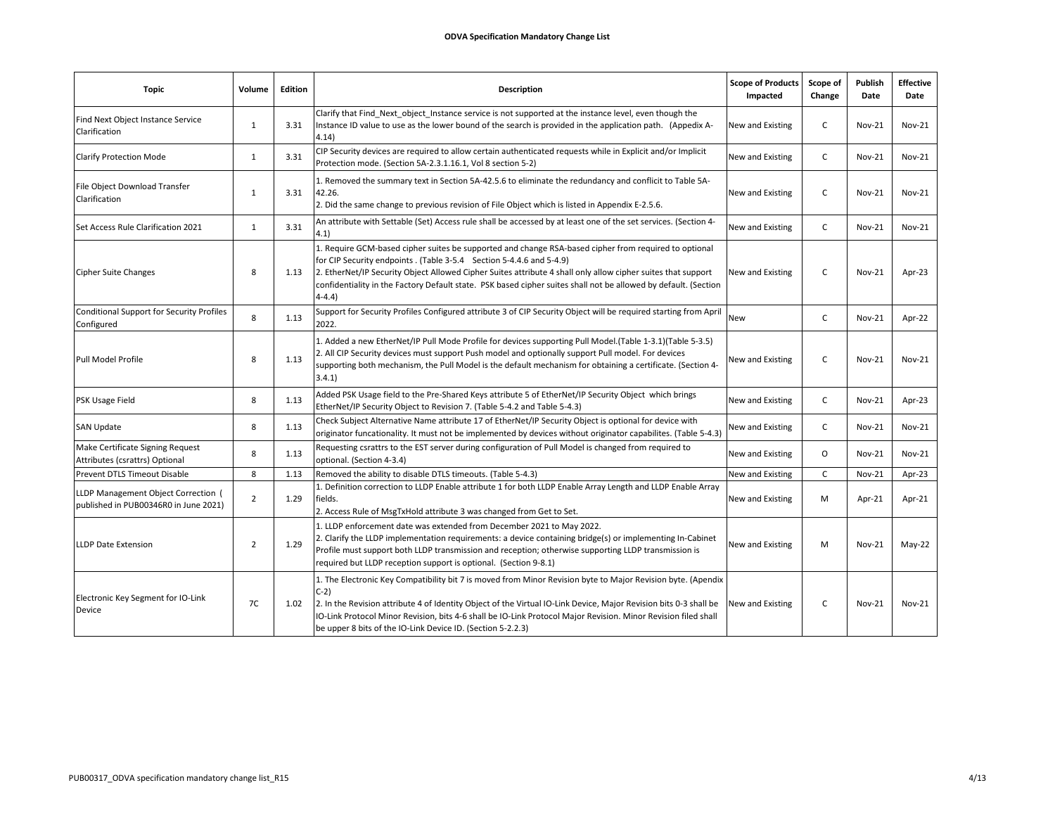| <b>Topic</b>                                                                 | Volume         | <b>Edition</b> | <b>Description</b>                                                                                                                                                                                                                                                                                                                                                                                                            | <b>Scope of Products</b><br>Impacted | Scope of<br>Change | Publish<br>Date | <b>Effective</b><br>Date |
|------------------------------------------------------------------------------|----------------|----------------|-------------------------------------------------------------------------------------------------------------------------------------------------------------------------------------------------------------------------------------------------------------------------------------------------------------------------------------------------------------------------------------------------------------------------------|--------------------------------------|--------------------|-----------------|--------------------------|
| Find Next Object Instance Service<br>Clarification                           | $\mathbf{1}$   | 3.31           | Clarify that Find Next object Instance service is not supported at the instance level, even though the<br>Instance ID value to use as the lower bound of the search is provided in the application path. (Appedix A-<br>4.14)                                                                                                                                                                                                 | New and Existing                     | C                  | <b>Nov-21</b>   | $Nov-21$                 |
| <b>Clarify Protection Mode</b>                                               | 1              | 3.31           | CIP Security devices are required to allow certain authenticated requests while in Explicit and/or Implicit<br>Protection mode. (Section 5A-2.3.1.16.1, Vol 8 section 5-2)                                                                                                                                                                                                                                                    | New and Existing                     | C                  | <b>Nov-21</b>   | $Nov-21$                 |
| File Object Download Transfer<br>Clarification                               | $\mathbf{1}$   | 3.31           | 1. Removed the summary text in Section 5A-42.5.6 to eliminate the redundancy and conflicit to Table 5A-<br>42.26.<br>2. Did the same change to previous revision of File Object which is listed in Appendix E-2.5.6.                                                                                                                                                                                                          | New and Existing                     | C                  | <b>Nov-21</b>   | Nov-21                   |
| Set Access Rule Clarification 2021                                           | $\mathbf{1}$   | 3.31           | An attribute with Settable (Set) Access rule shall be accessed by at least one of the set services. (Section 4-<br>4.1)                                                                                                                                                                                                                                                                                                       | New and Existing                     | $\mathsf{C}$       | <b>Nov-21</b>   | Nov-21                   |
| <b>Cipher Suite Changes</b>                                                  | 8              | 1.13           | 1. Require GCM-based cipher suites be supported and change RSA-based cipher from required to optional<br>for CIP Security endpoints . (Table 3-5.4 Section 5-4.4.6 and 5-4.9)<br>2. EtherNet/IP Security Object Allowed Cipher Suites attribute 4 shall only allow cipher suites that support<br>confidentiality in the Factory Default state. PSK based cipher suites shall not be allowed by default. (Section<br>$4 - 4.4$ | New and Existing                     | C                  | <b>Nov-21</b>   | Apr-23                   |
| <b>Conditional Support for Security Profiles</b><br>Configured               | 8              | 1.13           | Support for Security Profiles Configured attribute 3 of CIP Security Object will be required starting from April<br>2022.                                                                                                                                                                                                                                                                                                     | <b>New</b>                           | C                  | <b>Nov-21</b>   | Apr-22                   |
| Pull Model Profile                                                           | 8              | 1.13           | 1. Added a new EtherNet/IP Pull Mode Profile for devices supporting Pull Model. (Table 1-3.1) (Table 5-3.5)<br>2. All CIP Security devices must support Push model and optionally support Pull model. For devices<br>supporting both mechanism, the Pull Model is the default mechanism for obtaining a certificate. (Section 4-<br>3.4.1                                                                                     | New and Existing                     | C                  | <b>Nov-21</b>   | $Nov-21$                 |
| PSK Usage Field                                                              | 8              | 1.13           | Added PSK Usage field to the Pre-Shared Keys attribute 5 of EtherNet/IP Security Object which brings<br>EtherNet/IP Security Object to Revision 7. (Table 5-4.2 and Table 5-4.3)                                                                                                                                                                                                                                              | New and Existing                     | C.                 | <b>Nov-21</b>   | Apr-23                   |
| <b>SAN Update</b>                                                            | 8              | 1.13           | Check Subject Alternative Name attribute 17 of EtherNet/IP Security Object is optional for device with<br>originator funcationality. It must not be implemented by devices without originator capabilites. (Table 5-4.3)                                                                                                                                                                                                      | New and Existing                     | C                  | <b>Nov-21</b>   | $Nov-21$                 |
| Make Certificate Signing Request<br>Attributes (csrattrs) Optional           | 8              | 1.13           | Requesting csrattrs to the EST server during configuration of Pull Model is changed from required to<br>optional. (Section 4-3.4)                                                                                                                                                                                                                                                                                             | New and Existing                     | 0                  | <b>Nov-21</b>   | $Nov-21$                 |
| Prevent DTLS Timeout Disable                                                 | 8              | 1.13           | Removed the ability to disable DTLS timeouts. (Table 5-4.3)                                                                                                                                                                                                                                                                                                                                                                   | New and Existing                     | C.                 | <b>Nov-21</b>   | Apr-23                   |
| LLDP Management Object Correction (<br>published in PUB00346R0 in June 2021) | $\overline{2}$ | 1.29           | 1. Definition correction to LLDP Enable attribute 1 for both LLDP Enable Array Length and LLDP Enable Array<br>fields.<br>2. Access Rule of MsgTxHold attribute 3 was changed from Get to Set.                                                                                                                                                                                                                                | New and Existing                     | M                  | Apr-21          | Apr-21                   |
| <b>LLDP Date Extension</b>                                                   | $\overline{2}$ | 1.29           | 1. LLDP enforcement date was extended from December 2021 to May 2022.<br>2. Clarify the LLDP implementation requirements: a device containing bridge(s) or implementing In-Cabinet<br>Profile must support both LLDP transmission and reception; otherwise supporting LLDP transmission is<br>required but LLDP reception support is optional. (Section 9-8.1)                                                                | New and Existing                     | M                  | <b>Nov-21</b>   | $May-22$                 |
| Electronic Key Segment for IO-Link<br>Device                                 | 7C             | 1.02           | 1. The Electronic Key Compatibility bit 7 is moved from Minor Revision byte to Major Revision byte. (Apendix<br>$C-2)$<br>2. In the Revision attribute 4 of Identity Object of the Virtual IO-Link Device, Major Revision bits 0-3 shall be<br>IO-Link Protocol Minor Revision, bits 4-6 shall be IO-Link Protocol Major Revision. Minor Revision filed shall<br>be upper 8 bits of the IO-Link Device ID. (Section 5-2.2.3)  | New and Existing                     | C                  | <b>Nov-21</b>   | $Nov-21$                 |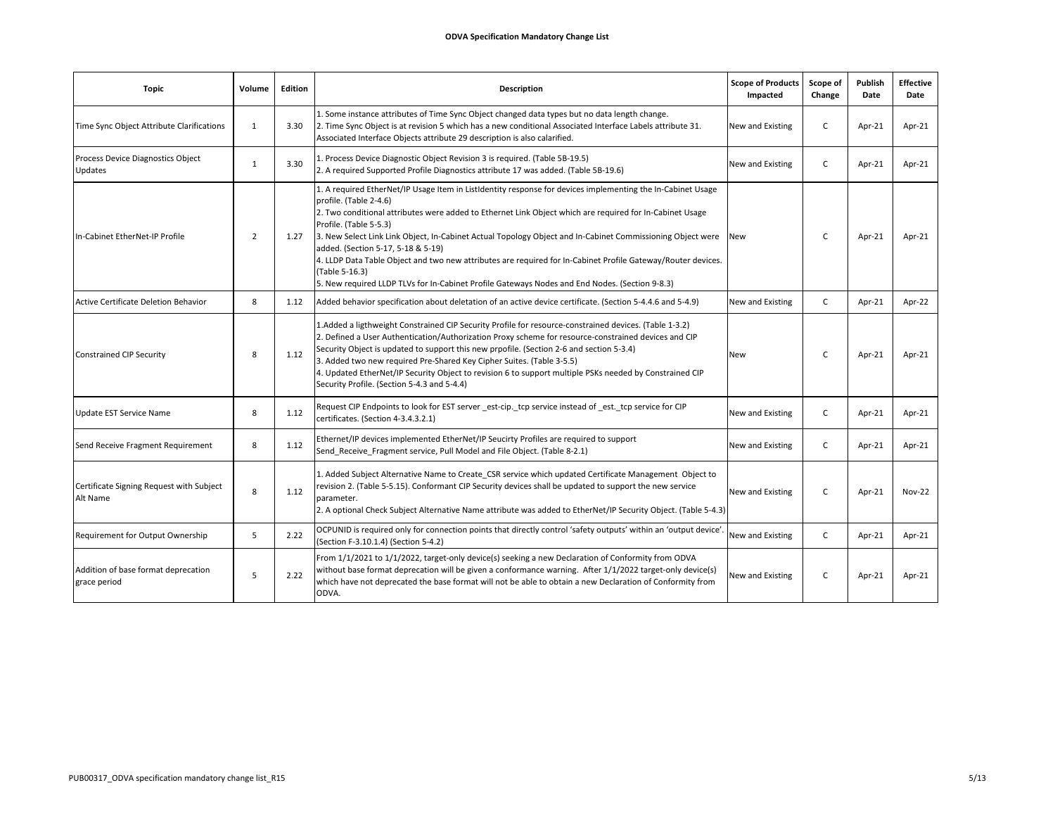| Topic                                                | Volume         | Edition | Description                                                                                                                                                                                                                                                                                                                                                                                                                                                                                                                                                                                                                                                         | <b>Scope of Products</b><br>Impacted | Scope of<br>Change | Publish<br>Date | <b>Effective</b><br>Date |
|------------------------------------------------------|----------------|---------|---------------------------------------------------------------------------------------------------------------------------------------------------------------------------------------------------------------------------------------------------------------------------------------------------------------------------------------------------------------------------------------------------------------------------------------------------------------------------------------------------------------------------------------------------------------------------------------------------------------------------------------------------------------------|--------------------------------------|--------------------|-----------------|--------------------------|
| Time Sync Object Attribute Clarifications            | 1              | 3.30    | 1. Some instance attributes of Time Sync Object changed data types but no data length change.<br>[2. Time Sync Object is at revision 5 which has a new conditional Associated Interface Labels attribute 31.<br>Associated Interface Objects attribute 29 description is also calarified.                                                                                                                                                                                                                                                                                                                                                                           | New and Existing                     | C                  | Apr-21          | Apr-21                   |
| Process Device Diagnostics Object<br>Updates         | 1              | 3.30    | 1. Process Device Diagnostic Object Revision 3 is required. (Table 5B-19.5)<br>2. A required Supported Profile Diagnostics attribute 17 was added. (Table 5B-19.6)                                                                                                                                                                                                                                                                                                                                                                                                                                                                                                  | New and Existing                     | C                  | Apr-21          | Apr-21                   |
| In-Cabinet EtherNet-IP Profile                       | $\overline{2}$ | 1.27    | 1. A required EtherNet/IP Usage Item in ListIdentity response for devices implementing the In-Cabinet Usage<br>profile. (Table 2-4.6)<br>2. Two conditional attributes were added to Ethernet Link Object which are required for In-Cabinet Usage<br>Profile. (Table 5-5.3)<br>3. New Select Link Link Object, In-Cabinet Actual Topology Object and In-Cabinet Commissioning Object were<br>added. (Section 5-17, 5-18 & 5-19)<br>4. LLDP Data Table Object and two new attributes are required for In-Cabinet Profile Gateway/Router devices.<br>(Table 5-16.3)<br>5. New required LLDP TLVs for In-Cabinet Profile Gateways Nodes and End Nodes. (Section 9-8.3) | <b>New</b>                           | C.                 | Apr-21          | Apr-21                   |
| <b>Active Certificate Deletion Behavior</b>          | 8              | 1.12    | Added behavior specification about deletation of an active device certificate. (Section 5-4.4.6 and 5-4.9)                                                                                                                                                                                                                                                                                                                                                                                                                                                                                                                                                          | New and Existing                     | C                  | Apr-21          | Apr-22                   |
| <b>Constrained CIP Security</b>                      | 8              | 1.12    | 1.Added a ligthweight Constrained CIP Security Profile for resource-constrained devices. (Table 1-3.2)<br>2. Defined a User Authentication/Authorization Proxy scheme for resource-constrained devices and CIP<br>Security Object is updated to support this new prpofile. (Section 2-6 and section 5-3.4)<br>3. Added two new required Pre-Shared Key Cipher Suites. (Table 3-5.5)<br>4. Updated EtherNet/IP Security Object to revision 6 to support multiple PSKs needed by Constrained CIP<br>Security Profile. (Section 5-4.3 and 5-4.4)                                                                                                                       | New                                  | C                  | Apr-21          | Apr-21                   |
| Update EST Service Name                              | 8              | 1.12    | Request CIP Endpoints to look for EST server est-cip. tcp service instead of est. tcp service for CIP<br>certificates. (Section 4-3.4.3.2.1)                                                                                                                                                                                                                                                                                                                                                                                                                                                                                                                        | New and Existing                     | C                  | Apr-21          | Apr-21                   |
| Send Receive Fragment Requirement                    | 8              | 1.12    | Ethernet/IP devices implemented EtherNet/IP Seucirty Profiles are required to support<br>Send Receive Fragment service, Pull Model and File Object. (Table 8-2.1)                                                                                                                                                                                                                                                                                                                                                                                                                                                                                                   | New and Existing                     | C                  | Apr-21          | Apr-21                   |
| Certificate Signing Request with Subject<br>Alt Name | 8              | 1.12    | 1. Added Subject Alternative Name to Create CSR service which updated Certificate Management Object to<br>revision 2. (Table 5-5.15). Conformant CIP Security devices shall be updated to support the new service<br>parameter.<br>2. A optional Check Subject Alternative Name attribute was added to EtherNet/IP Security Object. (Table 5-4.3)                                                                                                                                                                                                                                                                                                                   | New and Existing                     | C.                 | Apr-21          | <b>Nov-22</b>            |
| Requirement for Output Ownership                     | 5              | 2.22    | OCPUNID is required only for connection points that directly control 'safety outputs' within an 'output device'.<br>(Section F-3.10.1.4) (Section 5-4.2)                                                                                                                                                                                                                                                                                                                                                                                                                                                                                                            | New and Existing                     | C                  | Apr-21          | Apr-21                   |
| Addition of base format deprecation<br>grace period  | 5              | 2.22    | From 1/1/2021 to 1/1/2022, target-only device(s) seeking a new Declaration of Conformity from ODVA<br>without base format deprecation will be given a conformance warning. After 1/1/2022 target-only device(s)<br>which have not deprecated the base format will not be able to obtain a new Declaration of Conformity from<br>ODVA.                                                                                                                                                                                                                                                                                                                               | New and Existing                     | C                  | Apr-21          | Apr-21                   |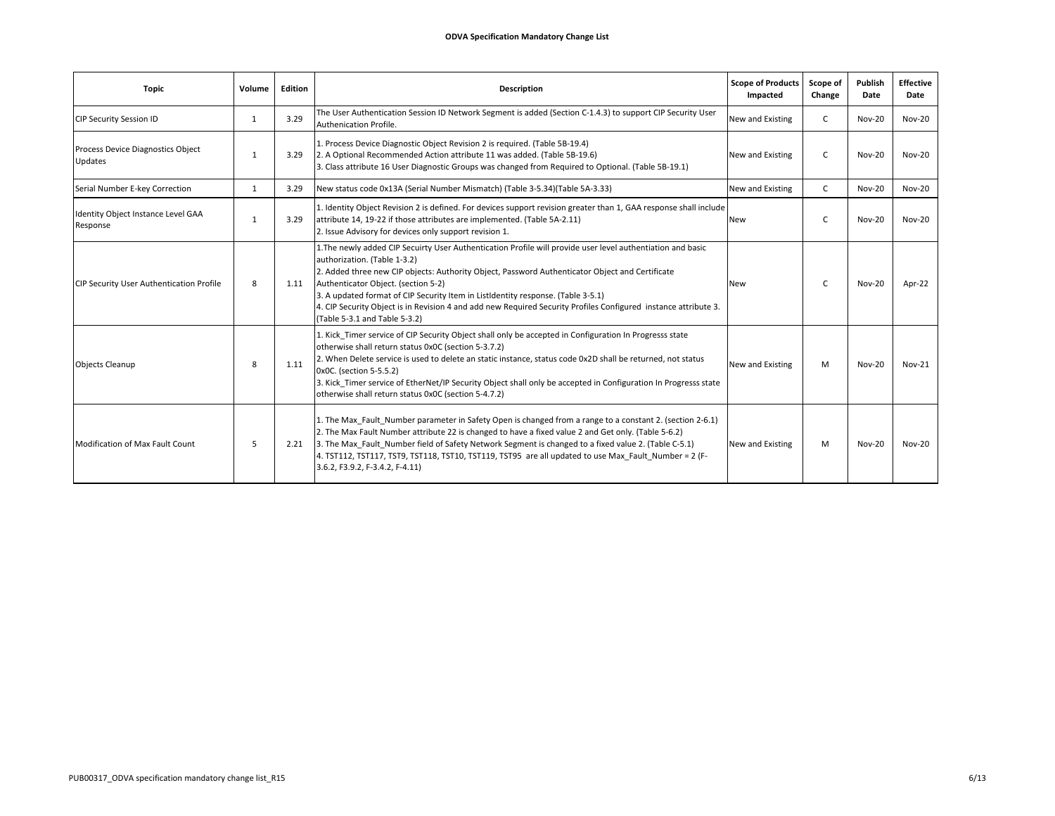| <b>Topic</b>                                   | Volume       | Edition | Description                                                                                                                                                                                                                                                                                                                                                                                                                                                                                                                   | <b>Scope of Products</b><br>Impacted | Scope of<br>Change | Publish<br>Date | <b>Effective</b><br>Date |
|------------------------------------------------|--------------|---------|-------------------------------------------------------------------------------------------------------------------------------------------------------------------------------------------------------------------------------------------------------------------------------------------------------------------------------------------------------------------------------------------------------------------------------------------------------------------------------------------------------------------------------|--------------------------------------|--------------------|-----------------|--------------------------|
| <b>CIP Security Session ID</b>                 | $\mathbf{1}$ | 3.29    | The User Authentication Session ID Network Segment is added (Section C-1.4.3) to support CIP Security User<br>Authenication Profile.                                                                                                                                                                                                                                                                                                                                                                                          | New and Existing                     | C                  | <b>Nov-20</b>   | <b>Nov-20</b>            |
| Process Device Diagnostics Object<br>Updates   | 1            | 3.29    | 1. Process Device Diagnostic Object Revision 2 is required. (Table 5B-19.4)<br>2. A Optional Recommended Action attribute 11 was added. (Table 5B-19.6)<br>3. Class attribute 16 User Diagnostic Groups was changed from Required to Optional. (Table 5B-19.1)                                                                                                                                                                                                                                                                | New and Existing                     | C                  | <b>Nov-20</b>   | Nov-20                   |
| Serial Number E-key Correction                 | 1            | 3.29    | New status code 0x13A (Serial Number Mismatch) (Table 3-5.34) (Table 5A-3.33)                                                                                                                                                                                                                                                                                                                                                                                                                                                 | New and Existing                     | $\mathsf{C}$       | <b>Nov-20</b>   | <b>Nov-20</b>            |
| Identity Object Instance Level GAA<br>Response | 1            | 3.29    | 1. Identity Object Revision 2 is defined. For devices support revision greater than 1, GAA response shall include<br>attribute 14, 19-22 if those attributes are implemented. (Table 5A-2.11)<br>2. Issue Advisory for devices only support revision 1.                                                                                                                                                                                                                                                                       | <b>New</b>                           | C                  | <b>Nov-20</b>   | <b>Nov-20</b>            |
| CIP Security User Authentication Profile       | 8            | 1.11    | 1. The newly added CIP Secuirty User Authentication Profile will provide user level authentiation and basic<br>authorization. (Table 1-3.2)<br>2. Added three new CIP objects: Authority Object, Password Authenticator Object and Certificate<br>Authenticator Object. (section 5-2)<br>3. A updated format of CIP Security Item in ListIdentity response. (Table 3-5.1)<br>4. CIP Security Object is in Revision 4 and add new Required Security Profiles Configured instance attribute 3.<br>(Table 5-3.1 and Table 5-3.2) | <b>New</b>                           | C.                 | <b>Nov-20</b>   | Apr-22                   |
| <b>Objects Cleanup</b>                         | 8            | 1.11    | 1. Kick Timer service of CIP Security Object shall only be accepted in Configuration In Progresss state<br>otherwise shall return status 0x0C (section 5-3.7.2)<br>2. When Delete service is used to delete an static instance, status code 0x2D shall be returned, not status<br>0x0C. (section 5-5.5.2)<br>3. Kick Timer service of EtherNet/IP Security Object shall only be accepted in Configuration In Progresss state<br>otherwise shall return status 0x0C (section 5-4.7.2)                                          | New and Existing                     | M                  | <b>Nov-20</b>   | $Nov-21$                 |
| Modification of Max Fault Count                | .5           | 2.21    | 1. The Max Fault Number parameter in Safety Open is changed from a range to a constant 2. (section 2-6.1)<br>2. The Max Fault Number attribute 22 is changed to have a fixed value 2 and Get only. (Table 5-6.2)<br>3. The Max Fault Number field of Safety Network Segment is changed to a fixed value 2. (Table C-5.1)<br>4. TST112, TST117, TST9, TST118, TST10, TST119, TST95 are all updated to use Max Fault Number = 2 (F-<br>3.6.2, F3.9.2, F-3.4.2, F-4.11)                                                          | New and Existing                     | M                  | <b>Nov-20</b>   | $Nov-20$                 |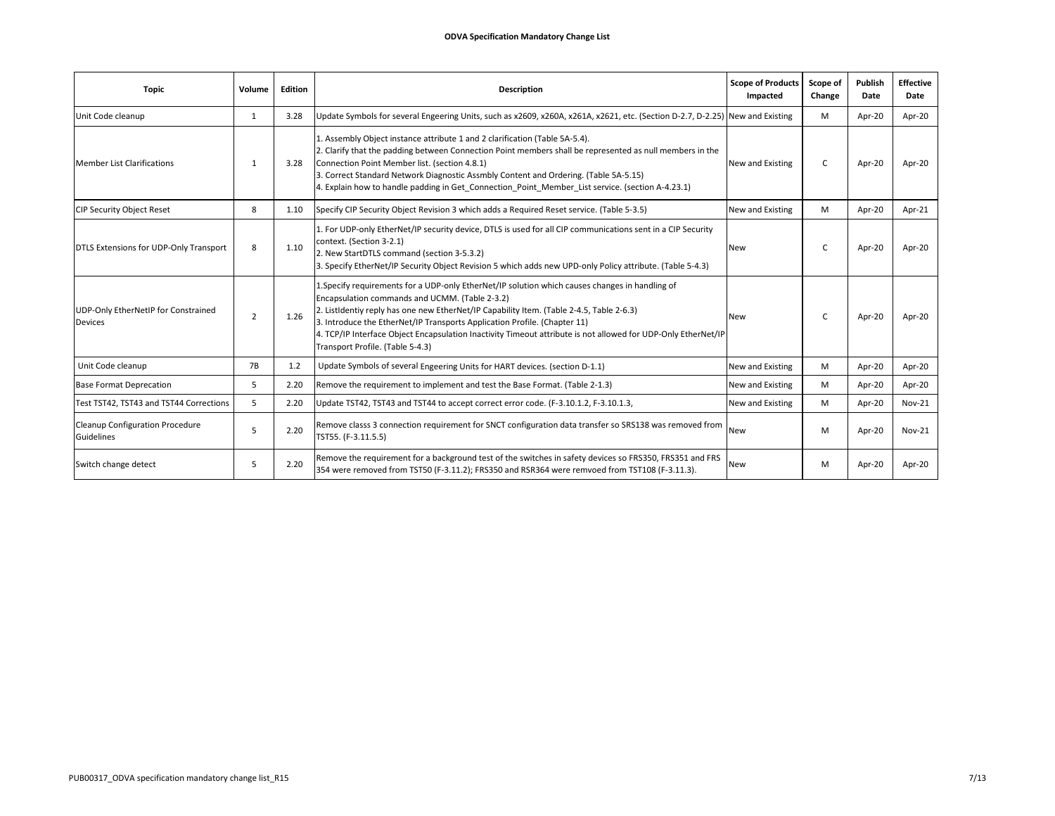| <b>Topic</b>                                          | Volume    | Edition | <b>Description</b>                                                                                                                                                                                                                                                                                                                                                                                                                                                              | <b>Scope of Products</b><br>Impacted | Scope of<br>Change | <b>Publish</b><br>Date | <b>Effective</b><br>Date |
|-------------------------------------------------------|-----------|---------|---------------------------------------------------------------------------------------------------------------------------------------------------------------------------------------------------------------------------------------------------------------------------------------------------------------------------------------------------------------------------------------------------------------------------------------------------------------------------------|--------------------------------------|--------------------|------------------------|--------------------------|
| Unit Code cleanup                                     | 1         | 3.28    | Update Symbols for several Engeering Units, such as x2609, x260A, x261A, x2621, etc. (Section D-2.7, D-2.25) New and Existing                                                                                                                                                                                                                                                                                                                                                   |                                      | M                  | Apr-20                 | Apr-20                   |
| <b>Member List Clarifications</b>                     | -1        | 3.28    | 1. Assembly Object instance attribute 1 and 2 clarification (Table 5A-5.4).<br>2. Clarify that the padding between Connection Point members shall be represented as null members in the<br>Connection Point Member list. (section 4.8.1)<br>3. Correct Standard Network Diagnostic Assmbly Content and Ordering. (Table 5A-5.15)<br>4. Explain how to handle padding in Get Connection Point Member List service. (section A-4.23.1)                                            | New and Existing                     | C                  | Apr-20                 | Apr-20                   |
| <b>CIP Security Object Reset</b>                      | 8         | 1.10    | Specify CIP Security Object Revision 3 which adds a Required Reset service. (Table 5-3.5)                                                                                                                                                                                                                                                                                                                                                                                       | New and Existing                     | м                  | Apr-20                 | Apr-21                   |
| DTLS Extensions for UDP-Only Transport                | 8         | 1.10    | 1. For UDP-only EtherNet/IP security device, DTLS is used for all CIP communications sent in a CIP Security<br>context. (Section 3-2.1)<br>2. New StartDTLS command (section 3-5.3.2)<br>3. Specify EtherNet/IP Security Object Revision 5 which adds new UPD-only Policy attribute. (Table 5-4.3)                                                                                                                                                                              | New                                  | $\mathsf{C}$       | Apr-20                 | Apr-20                   |
| UDP-Only EtherNetIP for Constrained<br><b>Devices</b> | 2         | 1.26    | 1. Specify requirements for a UDP-only EtherNet/IP solution which causes changes in handling of<br>Encapsulation commands and UCMM. (Table 2-3.2)<br>2. ListIdentiy reply has one new EtherNet/IP Capability Item. (Table 2-4.5, Table 2-6.3)<br>3. Introduce the EtherNet/IP Transports Application Profile. (Chapter 11)<br>4. TCP/IP Interface Object Encapsulation Inactivity Timeout attribute is not allowed for UDP-Only EtherNet/IP<br>Transport Profile. (Table 5-4.3) | New                                  | $\epsilon$         | Apr-20                 | Apr-20                   |
| Unit Code cleanup                                     | <b>7B</b> | 1.2     | Update Symbols of several Engeering Units for HART devices. (section D-1.1)                                                                                                                                                                                                                                                                                                                                                                                                     | New and Existing                     | M                  | Apr-20                 | Apr-20                   |
| <b>Base Format Deprecation</b>                        | 5         | 2.20    | Remove the requirement to implement and test the Base Format. (Table 2-1.3)                                                                                                                                                                                                                                                                                                                                                                                                     | New and Existing                     | M                  | Apr-20                 | Apr-20                   |
| Test TST42, TST43 and TST44 Corrections               | 5         | 2.20    | Update TST42, TST43 and TST44 to accept correct error code. (F-3.10.1.2, F-3.10.1.3,                                                                                                                                                                                                                                                                                                                                                                                            | New and Existing                     | M                  | Apr-20                 | <b>Nov-21</b>            |
| Cleanup Configuration Procedure<br>Guidelines         | 5         | 2.20    | Remove classs 3 connection requirement for SNCT configuration data transfer so SRS138 was removed from<br>TST55. (F-3.11.5.5)                                                                                                                                                                                                                                                                                                                                                   | New                                  | M                  | Apr-20                 | <b>Nov-21</b>            |
| Switch change detect                                  | 5         | 2.20    | Remove the requirement for a background test of the switches in safety devices so FRS350, FRS351 and FRS<br>354 were removed from TST50 (F-3.11.2); FRS350 and RSR364 were remvoed from TST108 (F-3.11.3).                                                                                                                                                                                                                                                                      | <b>New</b>                           | M                  | Apr-20                 | Apr-20                   |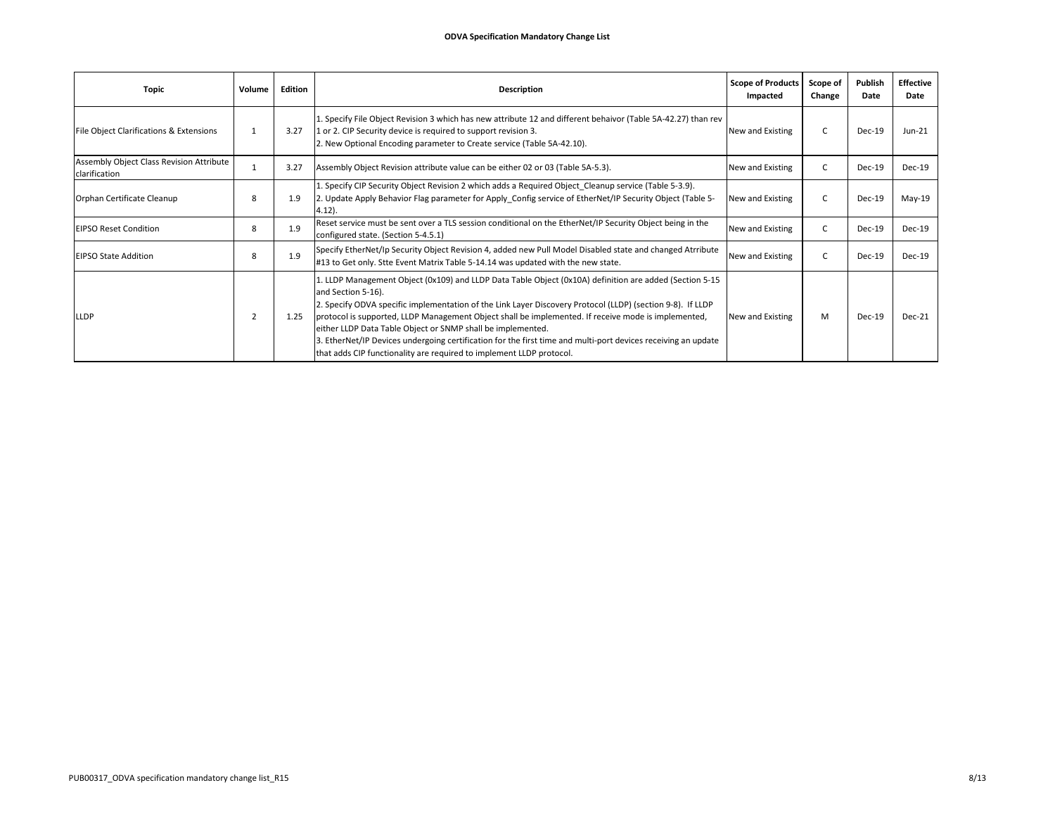| <b>Topic</b>                                              | Volume         | Edition | <b>Description</b>                                                                                                                                                                                                                                                                                                                                                                                                                                                                                                                                                                                         | <b>Scope of Products</b><br>Impacted | Scope of<br>Change | Publish<br>Date | <b>Effective</b><br>Date |
|-----------------------------------------------------------|----------------|---------|------------------------------------------------------------------------------------------------------------------------------------------------------------------------------------------------------------------------------------------------------------------------------------------------------------------------------------------------------------------------------------------------------------------------------------------------------------------------------------------------------------------------------------------------------------------------------------------------------------|--------------------------------------|--------------------|-----------------|--------------------------|
| File Object Clarifications & Extensions                   |                | 3.27    | 1. Specify File Object Revision 3 which has new attribute 12 and different behaivor (Table 5A-42.27) than rev<br>1 or 2. CIP Security device is required to support revision 3.<br>2. New Optional Encoding parameter to Create service (Table 5A-42.10).                                                                                                                                                                                                                                                                                                                                                  | New and Existing                     |                    | Dec-19          | $Jun-21$                 |
| Assembly Object Class Revision Attribute<br>clarification |                | 3.27    | Assembly Object Revision attribute value can be either 02 or 03 (Table 5A-5.3).                                                                                                                                                                                                                                                                                                                                                                                                                                                                                                                            | New and Existing                     |                    | Dec-19          | Dec-19                   |
| Orphan Certificate Cleanup                                | 8              | 1.9     | 1. Specify CIP Security Object Revision 2 which adds a Required Object_Cleanup service (Table 5-3.9).<br>2. Update Apply Behavior Flag parameter for Apply Config service of EtherNet/IP Security Object (Table 5-<br>$4.12$ ).                                                                                                                                                                                                                                                                                                                                                                            | New and Existing                     |                    | $Dec-19$        | $May-19$                 |
| <b>EIPSO Reset Condition</b>                              | 8              | 1.9     | Reset service must be sent over a TLS session conditional on the EtherNet/IP Security Object being in the<br>configured state. (Section 5-4.5.1)                                                                                                                                                                                                                                                                                                                                                                                                                                                           | New and Existing                     |                    | Dec-19          | Dec-19                   |
| <b>EIPSO State Addition</b>                               | -8             | 1.9     | Specify EtherNet/Ip Security Object Revision 4, added new Pull Model Disabled state and changed Atrribute<br>#13 to Get only. Stte Event Matrix Table 5-14.14 was updated with the new state.                                                                                                                                                                                                                                                                                                                                                                                                              | New and Existing                     |                    | $Dec-19$        | Dec-19                   |
| <b>LLDP</b>                                               | $\overline{2}$ | 1.25    | 1. LLDP Management Object (0x109) and LLDP Data Table Object (0x10A) definition are added (Section 5-15<br>and Section 5-16).<br>2. Specify ODVA specific implementation of the Link Layer Discovery Protocol (LLDP) (section 9-8). If LLDP<br>protocol is supported, LLDP Management Object shall be implemented. If receive mode is implemented,<br>either LLDP Data Table Object or SNMP shall be implemented.<br>3. EtherNet/IP Devices undergoing certification for the first time and multi-port devices receiving an update<br>that adds CIP functionality are required to implement LLDP protocol. | New and Existing                     | M                  | Dec-19          | Dec-21                   |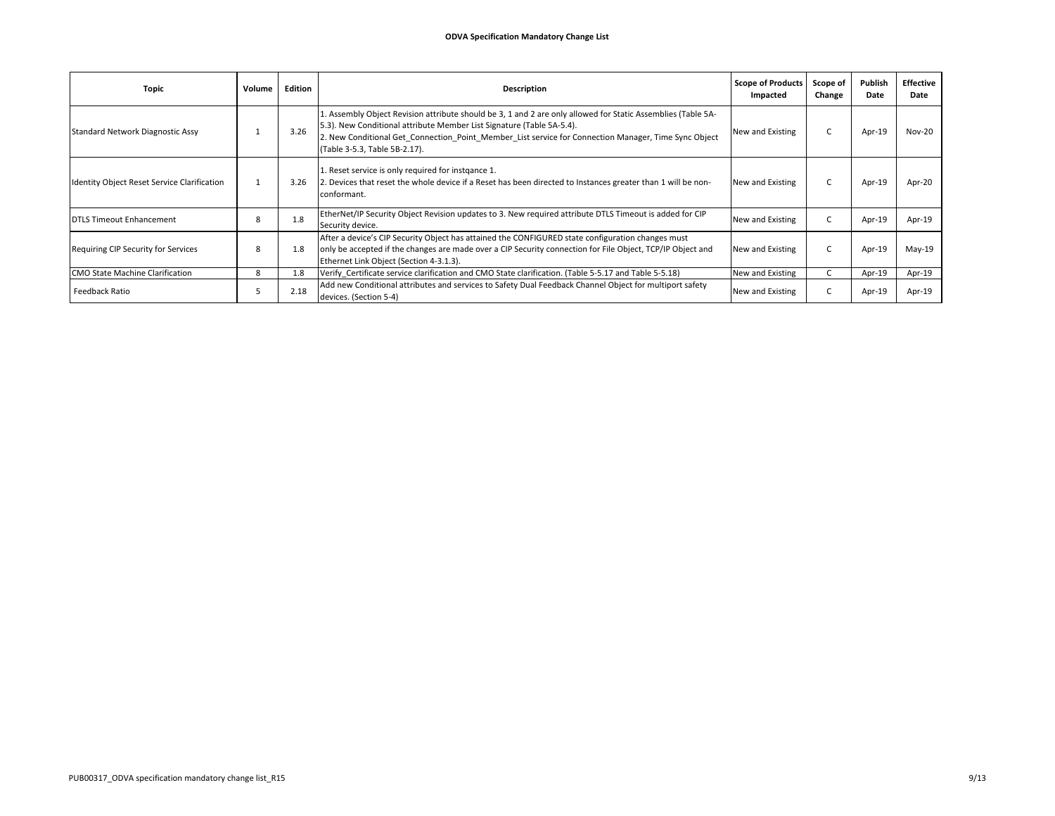| Topic                                       | Volume   | Edition | Description                                                                                                                                                                                                                                                                                                                     | <b>Scope of Products</b><br>Impacted | Scope of<br>Change | Publish<br>Date | Effective<br>Date |
|---------------------------------------------|----------|---------|---------------------------------------------------------------------------------------------------------------------------------------------------------------------------------------------------------------------------------------------------------------------------------------------------------------------------------|--------------------------------------|--------------------|-----------------|-------------------|
| Standard Network Diagnostic Assy            |          | 3.26    | L. Assembly Object Revision attribute should be 3, 1 and 2 are only allowed for Static Assemblies (Table 5A-<br>[5.3]. New Conditional attribute Member List Signature (Table 5A-5.4).<br>2. New Conditional Get_Connection_Point_Member_List service for Connection Manager, Time Sync Object<br>(Table 3-5.3, Table 5B-2.17). | New and Existing                     |                    | Apr-19          | Nov-20            |
| Identity Object Reset Service Clarification | <b>T</b> | 3.26    | 1. Reset service is only required for instgance 1.<br>2. Devices that reset the whole device if a Reset has been directed to Instances greater than 1 will be non-<br>conformant.                                                                                                                                               | New and Existing                     |                    | Apr-19          | Apr-20            |
| DTLS Timeout Enhancement                    | 8        | 1.8     | EtherNet/IP Security Object Revision updates to 3. New required attribute DTLS Timeout is added for CIP<br>Security device.                                                                                                                                                                                                     | New and Existing                     |                    | Apr-19          | Apr-19            |
| Requiring CIP Security for Services         | 8        | 1.8     | After a device's CIP Security Object has attained the CONFIGURED state configuration changes must<br>only be accepted if the changes are made over a CIP Security connection for File Object, TCP/IP Object and<br>Ethernet Link Object (Section 4-3.1.3).                                                                      | New and Existing                     |                    | Apr-19          | $May-19$          |
| CMO State Machine Clarification             | 8        | 1.8     | Verify Certificate service clarification and CMO State clarification. (Table 5-5.17 and Table 5-5.18)                                                                                                                                                                                                                           | New and Existing                     |                    | Apr-19          | Apr-19            |
| Feedback Ratio                              | כ        | 2.18    | Add new Conditional attributes and services to Safety Dual Feedback Channel Object for multiport safety<br>devices. (Section 5-4)                                                                                                                                                                                               | New and Existing                     |                    | Apr-19          | Apr-19            |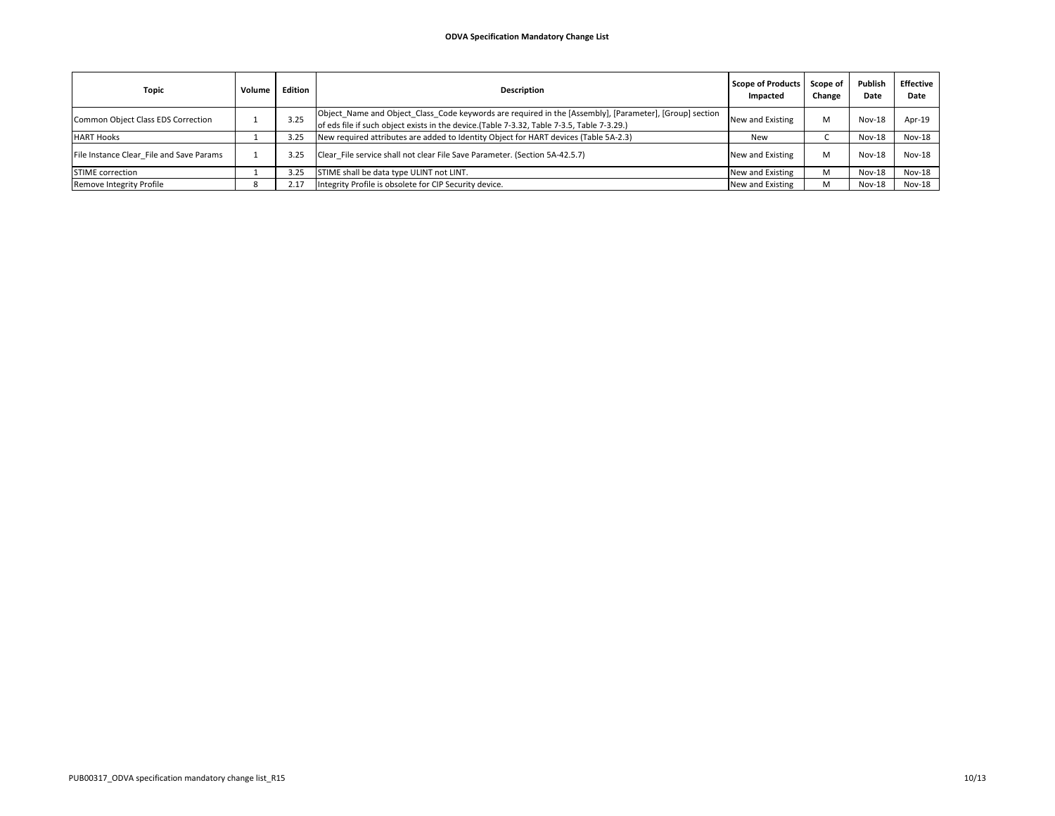| Topic                                    | Volume | Edition | <b>Description</b>                                                                                                                                                                                     | Scope of Products<br>Impacted | Scope of<br>Change | Publish<br>Date | <b>Effective</b><br>Date |
|------------------------------------------|--------|---------|--------------------------------------------------------------------------------------------------------------------------------------------------------------------------------------------------------|-------------------------------|--------------------|-----------------|--------------------------|
| Common Object Class EDS Correction       |        | 3.25    | Object_Name and Object_Class_Code keywords are required in the [Assembly], [Parameter], [Group] section<br>of eds file if such object exists in the device. (Table 7-3.32, Table 7-3.5, Table 7-3.29.) | New and Existing              |                    | $Nov-18$        | Apr-19                   |
| <b>HART Hooks</b>                        |        | 3.25    | New required attributes are added to Identity Object for HART devices (Table 5A-2.3)                                                                                                                   | New                           |                    | $Nov-18$        | Nov-18                   |
| File Instance Clear File and Save Params |        | 3.25    | Clear File service shall not clear File Save Parameter. (Section 5A-42.5.7)                                                                                                                            | New and Existing              |                    | $Nov-18$        | Nov-18                   |
| <b>STIME</b> correction                  |        | 3.25    | STIME shall be data type ULINT not LINT.                                                                                                                                                               | New and Existing              |                    | Nov-18          | Nov-18                   |
| Remove Integrity Profile                 |        | 2.17    | Integrity Profile is obsolete for CIP Security device.                                                                                                                                                 | New and Existing              |                    | Nov-18          | <b>Nov-18</b>            |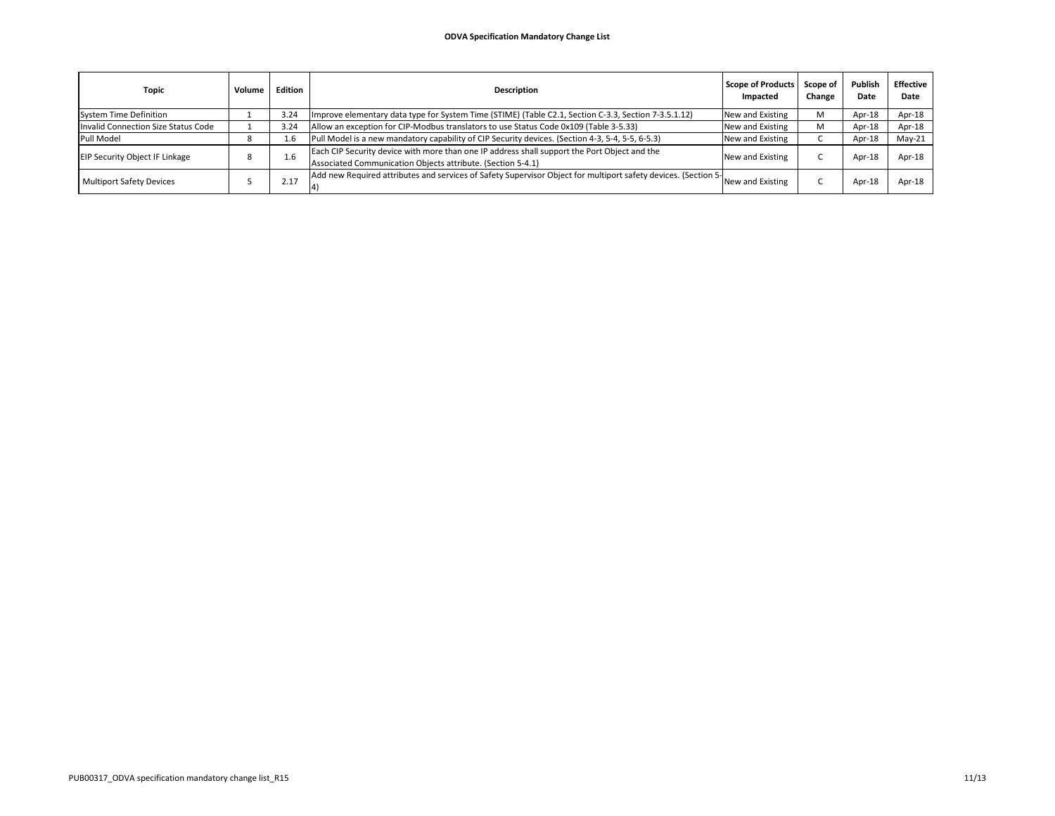| <b>Topic</b>                          | Volume | Edition | <b>Description</b>                                                                                                                                          | <b>Scope of Products</b><br>Impacted | Scope of<br>Change | Publish<br>Date | <b>Effective</b><br>Date |
|---------------------------------------|--------|---------|-------------------------------------------------------------------------------------------------------------------------------------------------------------|--------------------------------------|--------------------|-----------------|--------------------------|
| System Time Definition                |        | 3.24    | Improve elementary data type for System Time (STIME) (Table C2.1, Section C-3.3, Section 7-3.5.1.12)                                                        | New and Existing                     | м                  | Apr-18          | Apr-18                   |
| Invalid Connection Size Status Code   |        | 3.24    | Allow an exception for CIP-Modbus translators to use Status Code 0x109 (Table 3-5.33)                                                                       | New and Existing                     | м                  | Apr-18          | Apr-18                   |
| Pull Model                            |        | 1.6     | Pull Model is a new mandatory capability of CIP Security devices. (Section 4-3, 5-4, 5-5, 6-5.3)                                                            | New and Existing                     |                    | Apr-18          | $May-21$                 |
| <b>EIP Security Object IF Linkage</b> | 8      | 1.6     | Each CIP Security device with more than one IP address shall support the Port Object and the<br>Associated Communication Objects attribute. (Section 5-4.1) | New and Existing                     |                    | $Apr-18$        | Apr-18                   |
| <b>Multiport Safety Devices</b>       |        | 2.17    | Add new Required attributes and services of Safety Supervisor Object for multiport safety devices. (Section 51                                              | New and Existing                     |                    | Apr-1           | Apr-18                   |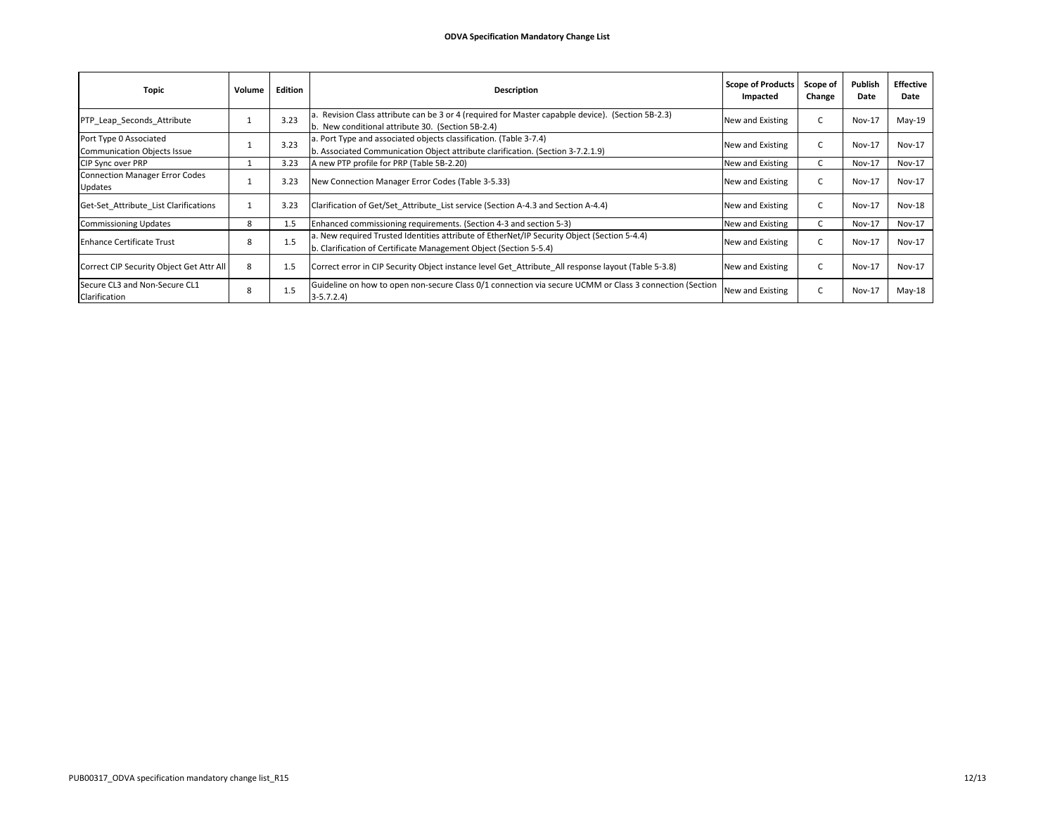| Topic                                                        | Volume | Edition | <b>Description</b>                                                                                                                                               | <b>Scope of Products</b><br>Impacted | Scope of<br>Change | Publish<br>Date | <b>Effective</b><br>Date |
|--------------------------------------------------------------|--------|---------|------------------------------------------------------------------------------------------------------------------------------------------------------------------|--------------------------------------|--------------------|-----------------|--------------------------|
| PTP Leap Seconds Attribute                                   |        | 3.23    | a. Revision Class attribute can be 3 or 4 (required for Master capabple device). (Section 5B-2.3)<br>b. New conditional attribute 30. (Section 5B-2.4)           | New and Existing                     |                    | $Nov-17$        | $May-19$                 |
| Port Type 0 Associated<br><b>Communication Objects Issue</b> |        | 3.23    | a. Port Type and associated objects classification. (Table 3-7.4)<br>b. Associated Communication Object attribute clarification. (Section 3-7.2.1.9)             | New and Existing                     |                    | $Nov-17$        | Nov-17                   |
| CIP Sync over PRP                                            |        | 3.23    | A new PTP profile for PRP (Table 5B-2.20)                                                                                                                        | New and Existing                     |                    | <b>Nov-17</b>   | <b>Nov-17</b>            |
| <b>Connection Manager Error Codes</b><br>Updates             |        | 3.23    | New Connection Manager Error Codes (Table 3-5.33)                                                                                                                | New and Existing                     |                    | $Nov-17$        | Nov-17                   |
| Get-Set Attribute List Clarifications                        |        | 3.23    | Clarification of Get/Set Attribute List service (Section A-4.3 and Section A-4.4)                                                                                | New and Existing                     |                    | <b>Nov-17</b>   | Nov-18                   |
| <b>Commissioning Updates</b>                                 | 8      | 1.5     | Enhanced commissioning requirements. (Section 4-3 and section 5-3)                                                                                               | New and Existing                     |                    | Nov-17          | <b>Nov-17</b>            |
| <b>Enhance Certificate Trust</b>                             | 8      | 1.5     | a. New required Trusted Identities attribute of EtherNet/IP Security Object (Section 5-4.4)<br>b. Clarification of Certificate Management Object (Section 5-5.4) | New and Existing                     |                    | $Nov-17$        | <b>Nov-17</b>            |
| Correct CIP Security Object Get Attr All                     | 8      | 1.5     | Correct error in CIP Security Object instance level Get_Attribute_All response layout (Table 5-3.8)                                                              | New and Existing                     |                    | $Nov-17$        | Nov-17                   |
| Secure CL3 and Non-Secure CL1<br>Clarification               | 8      | 1.5     | Guideline on how to open non-secure Class 0/1 connection via secure UCMM or Class 3 connection (Section<br>$3-5.7.2.4$                                           | New and Existing                     |                    | $Nov-17$        | $May-18$                 |